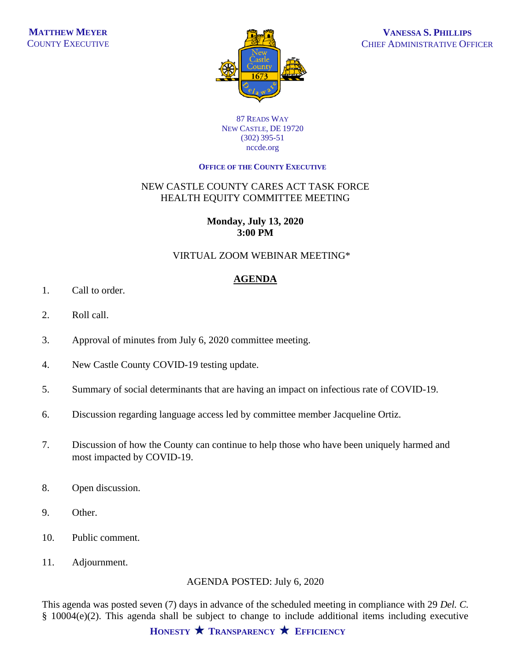

87 READS WAY NEW CASTLE, DE 19720 (302) 395-51 nccde.org

#### **OFFICE OF THE COUNTY EXECUTIVE**

### NEW CASTLE COUNTY CARES ACT TASK FORCE HEALTH EQUITY COMMITTEE MEETING

### **Monday, July 13, 2020 3:00 PM**

#### VIRTUAL ZOOM WEBINAR MEETING\*

## **AGENDA**

- 1. Call to order.
- 2. Roll call.
- 3. Approval of minutes from July 6, 2020 committee meeting.
- 4. New Castle County COVID-19 testing update.
- 5. Summary of social determinants that are having an impact on infectious rate of COVID-19.
- 6. Discussion regarding language access led by committee member Jacqueline Ortiz.
- 7. Discussion of how the County can continue to help those who have been uniquely harmed and most impacted by COVID-19.
- 8. Open discussion.
- 9. Other.
- 10. Public comment.
- 11. Adjournment.

# AGENDA POSTED: July 6, 2020

This agenda was posted seven (7) days in advance of the scheduled meeting in compliance with 29 *Del. C.* § 10004(e)(2). This agenda shall be subject to change to include additional items including executive

**HONESTY TRANSPARENCY EFFICIENCY**